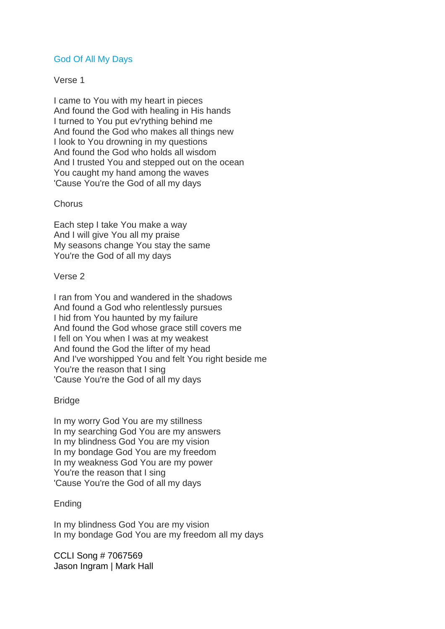# God Of All My Days

#### Verse 1

I came to You with my heart in pieces And found the God with healing in His hands I turned to You put ev'rything behind me And found the God who makes all things new I look to You drowning in my questions And found the God who holds all wisdom And I trusted You and stepped out on the ocean You caught my hand among the waves 'Cause You're the God of all my days

## Chorus

Each step I take You make a way And I will give You all my praise My seasons change You stay the same You're the God of all my days

## Verse 2

I ran from You and wandered in the shadows And found a God who relentlessly pursues I hid from You haunted by my failure And found the God whose grace still covers me I fell on You when I was at my weakest And found the God the lifter of my head And I've worshipped You and felt You right beside me You're the reason that I sing 'Cause You're the God of all my days

# **Bridge**

In my worry God You are my stillness In my searching God You are my answers In my blindness God You are my vision In my bondage God You are my freedom In my weakness God You are my power You're the reason that I sing 'Cause You're the God of all my days

# Ending

In my blindness God You are my vision In my bondage God You are my freedom all my days

CCLI Song # 7067569 Jason Ingram | Mark Hall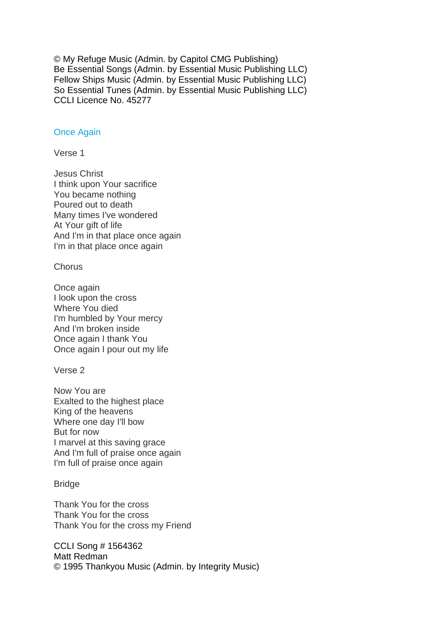© My Refuge Music (Admin. by Capitol CMG Publishing) Be Essential Songs (Admin. by Essential Music Publishing LLC) Fellow Ships Music (Admin. by Essential Music Publishing LLC) So Essential Tunes (Admin. by Essential Music Publishing LLC) CCLI Licence No. 45277

#### Once Again

Verse 1

Jesus Christ I think upon Your sacrifice You became nothing Poured out to death Many times I've wondered At Your gift of life And I'm in that place once again I'm in that place once again

**Chorus** 

Once again I look upon the cross Where You died I'm humbled by Your mercy And I'm broken inside Once again I thank You Once again I pour out my life

Verse 2

Now You are Exalted to the highest place King of the heavens Where one day I'll bow But for now I marvel at this saving grace And I'm full of praise once again I'm full of praise once again

Bridge

Thank You for the cross Thank You for the cross Thank You for the cross my Friend

CCLI Song # 1564362 Matt Redman © 1995 Thankyou Music (Admin. by Integrity Music)